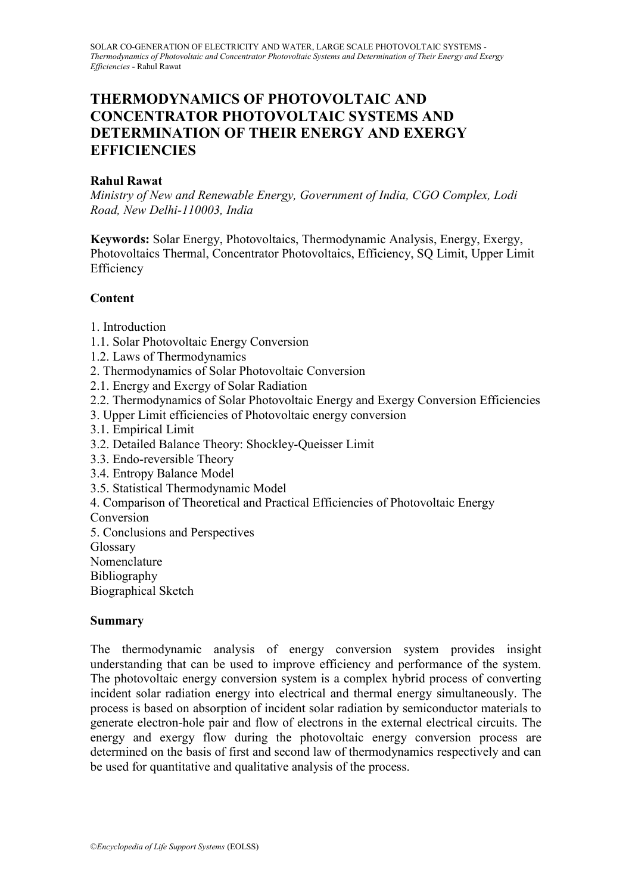# **THERMODYNAMICS OF PHOTOVOLTAIC AND CONCENTRATOR PHOTOVOLTAIC SYSTEMS AND DETERMINATION OF THEIR ENERGY AND EXERGY EFFICIENCIES**

# **Rahul Rawat**

*Ministry of New and Renewable Energy, Government of India, CGO Complex, Lodi Road, New Delhi-110003, India*

**Keywords:** Solar Energy, Photovoltaics, Thermodynamic Analysis, Energy, Exergy, Photovoltaics Thermal, Concentrator Photovoltaics, Efficiency, SQ Limit, Upper Limit Efficiency

# **Content**

- 1. Introduction
- 1.1. Solar Photovoltaic Energy Conversion
- 1.2. Laws of Thermodynamics
- 2. Thermodynamics of Solar Photovoltaic Conversion
- 2.1. Energy and Exergy of Solar Radiation
- 2.2. Thermodynamics of Solar Photovoltaic Energy and Exergy Conversion Efficiencies
- 3. Upper Limit efficiencies of Photovoltaic energy conversion
- 3.1. Empirical Limit
- 3.2. Detailed Balance Theory: Shockley-Queisser Limit
- 3.3. Endo-reversible Theory
- 3.4. Entropy Balance Model
- 3.5. Statistical Thermodynamic Model
- 4. Comparison of Theoretical and Practical Efficiencies of Photovoltaic Energy

Conversion

- 5. Conclusions and Perspectives
- Glossary
- Nomenclature
- Bibliography

Biographical Sketch

### **Summary**

The thermodynamic analysis of energy conversion system provides insight understanding that can be used to improve efficiency and performance of the system. The photovoltaic energy conversion system is a complex hybrid process of converting incident solar radiation energy into electrical and thermal energy simultaneously. The process is based on absorption of incident solar radiation by semiconductor materials to generate electron-hole pair and flow of electrons in the external electrical circuits. The energy and exergy flow during the photovoltaic energy conversion process are determined on the basis of first and second law of thermodynamics respectively and can be used for quantitative and qualitative analysis of the process.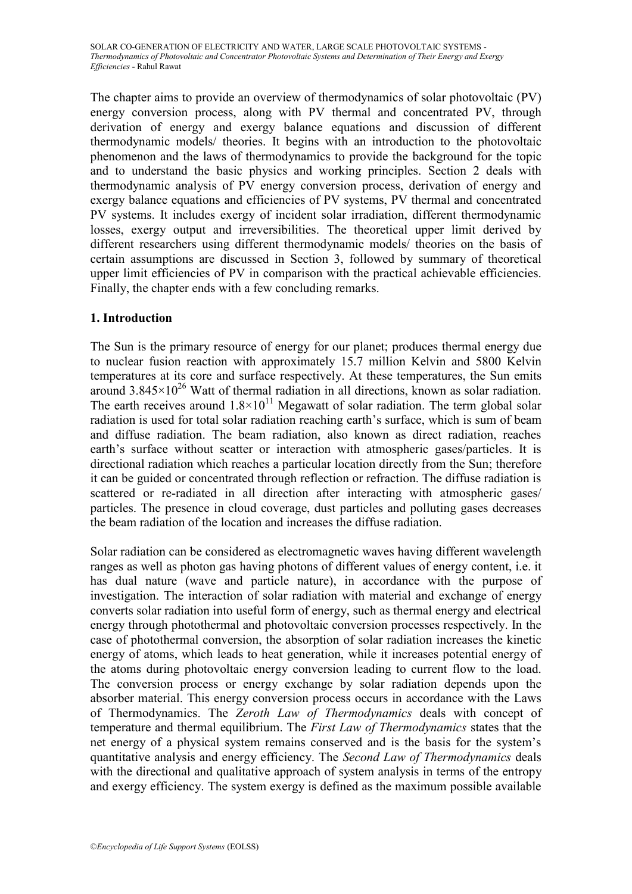The chapter aims to provide an overview of thermodynamics of solar photovoltaic (PV) energy conversion process, along with PV thermal and concentrated PV, through derivation of energy and exergy balance equations and discussion of different thermodynamic models/ theories. It begins with an introduction to the photovoltaic phenomenon and the laws of thermodynamics to provide the background for the topic and to understand the basic physics and working principles. Section 2 deals with thermodynamic analysis of PV energy conversion process, derivation of energy and exergy balance equations and efficiencies of PV systems, PV thermal and concentrated PV systems. It includes exergy of incident solar irradiation, different thermodynamic losses, exergy output and irreversibilities. The theoretical upper limit derived by different researchers using different thermodynamic models/ theories on the basis of certain assumptions are discussed in Section 3, followed by summary of theoretical upper limit efficiencies of PV in comparison with the practical achievable efficiencies. Finally, the chapter ends with a few concluding remarks.

# **1. Introduction**

The Sun is the primary resource of energy for our planet; produces thermal energy due to nuclear fusion reaction with approximately 15.7 million Kelvin and 5800 Kelvin temperatures at its core and surface respectively. At these temperatures, the Sun emits around  $3.845 \times 10^{26}$  Watt of thermal radiation in all directions, known as solar radiation. The earth receives around  $1.8 \times 10^{11}$  Megawatt of solar radiation. The term global solar radiation is used for total solar radiation reaching earth's surface, which is sum of beam and diffuse radiation. The beam radiation, also known as direct radiation, reaches earth's surface without scatter or interaction with atmospheric gases/particles. It is directional radiation which reaches a particular location directly from the Sun; therefore it can be guided or concentrated through reflection or refraction. The diffuse radiation is scattered or re-radiated in all direction after interacting with atmospheric gases/ particles. The presence in cloud coverage, dust particles and polluting gases decreases the beam radiation of the location and increases the diffuse radiation.

Solar radiation can be considered as electromagnetic waves having different wavelength ranges as well as photon gas having photons of different values of energy content, i.e. it has dual nature (wave and particle nature), in accordance with the purpose of investigation. The interaction of solar radiation with material and exchange of energy converts solar radiation into useful form of energy, such as thermal energy and electrical energy through photothermal and photovoltaic conversion processes respectively. In the case of photothermal conversion, the absorption of solar radiation increases the kinetic energy of atoms, which leads to heat generation, while it increases potential energy of the atoms during photovoltaic energy conversion leading to current flow to the load. The conversion process or energy exchange by solar radiation depends upon the absorber material. This energy conversion process occurs in accordance with the Laws of Thermodynamics. The *Zeroth Law of Thermodynamics* deals with concept of temperature and thermal equilibrium. The *First Law of Thermodynamics* states that the net energy of a physical system remains conserved and is the basis for the system's quantitative analysis and energy efficiency. The *Second Law of Thermodynamics* deals with the directional and qualitative approach of system analysis in terms of the entropy and exergy efficiency. The system exergy is defined as the maximum possible available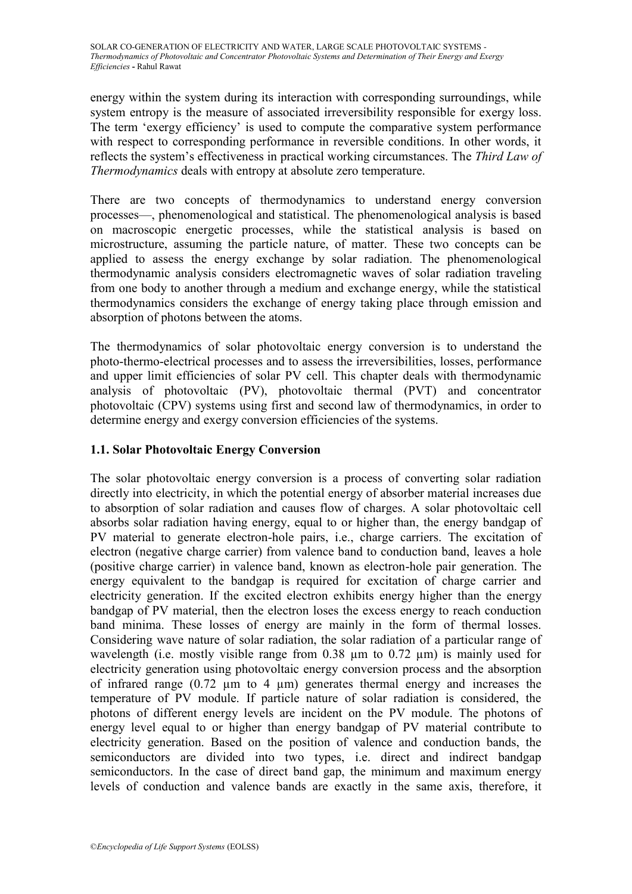energy within the system during its interaction with corresponding surroundings, while system entropy is the measure of associated irreversibility responsible for exergy loss. The term 'exergy efficiency' is used to compute the comparative system performance with respect to corresponding performance in reversible conditions. In other words, it reflects the system's effectiveness in practical working circumstances. The *Third Law of Thermodynamics* deals with entropy at absolute zero temperature.

There are two concepts of thermodynamics to understand energy conversion processes—, phenomenological and statistical. The phenomenological analysis is based on macroscopic energetic processes, while the statistical analysis is based on microstructure, assuming the particle nature, of matter. These two concepts can be applied to assess the energy exchange by solar radiation. The phenomenological thermodynamic analysis considers electromagnetic waves of solar radiation traveling from one body to another through a medium and exchange energy, while the statistical thermodynamics considers the exchange of energy taking place through emission and absorption of photons between the atoms.

The thermodynamics of solar photovoltaic energy conversion is to understand the photo-thermo-electrical processes and to assess the irreversibilities, losses, performance and upper limit efficiencies of solar PV cell. This chapter deals with thermodynamic analysis of photovoltaic (PV), photovoltaic thermal (PVT) and concentrator photovoltaic (CPV) systems using first and second law of thermodynamics, in order to determine energy and exergy conversion efficiencies of the systems.

# **1.1. Solar Photovoltaic Energy Conversion**

The solar photovoltaic energy conversion is a process of converting solar radiation directly into electricity, in which the potential energy of absorber material increases due to absorption of solar radiation and causes flow of charges. A solar photovoltaic cell absorbs solar radiation having energy, equal to or higher than, the energy bandgap of PV material to generate electron-hole pairs, i.e., charge carriers. The excitation of electron (negative charge carrier) from valence band to conduction band, leaves a hole (positive charge carrier) in valence band, known as electron-hole pair generation. The energy equivalent to the bandgap is required for excitation of charge carrier and electricity generation. If the excited electron exhibits energy higher than the energy bandgap of PV material, then the electron loses the excess energy to reach conduction band minima. These losses of energy are mainly in the form of thermal losses. Considering wave nature of solar radiation, the solar radiation of a particular range of wavelength (i.e. mostly visible range from  $0.38 \mu m$  to  $0.72 \mu m$ ) is mainly used for electricity generation using photovoltaic energy conversion process and the absorption of infrared range  $(0.72 \mu m)$  to 4  $\mu$ m) generates thermal energy and increases the temperature of PV module. If particle nature of solar radiation is considered, the photons of different energy levels are incident on the PV module. The photons of energy level equal to or higher than energy bandgap of PV material contribute to electricity generation. Based on the position of valence and conduction bands, the semiconductors are divided into two types, i.e. direct and indirect bandgap semiconductors. In the case of direct band gap, the minimum and maximum energy levels of conduction and valence bands are exactly in the same axis, therefore, it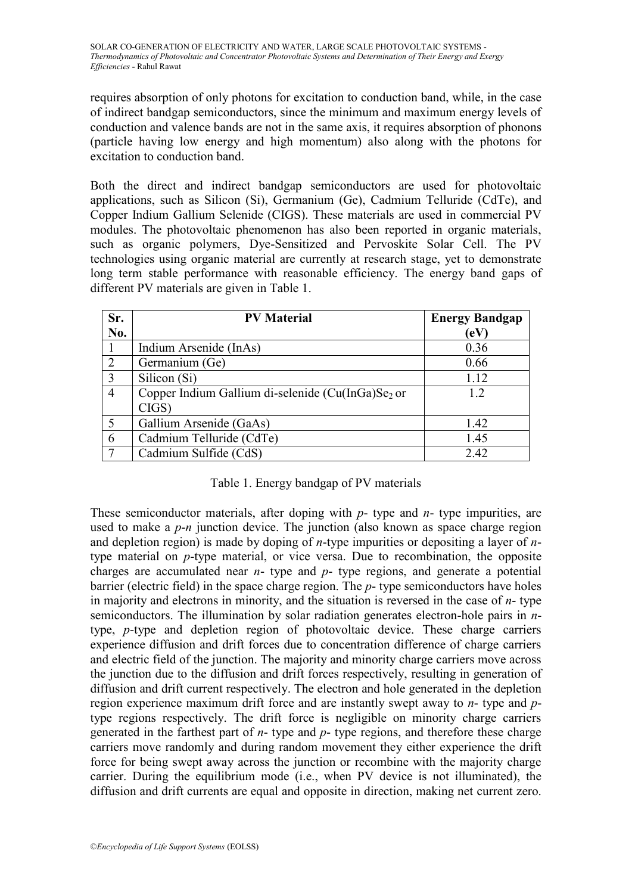requires absorption of only photons for excitation to conduction band, while, in the case of indirect bandgap semiconductors, since the minimum and maximum energy levels of conduction and valence bands are not in the same axis, it requires absorption of phonons (particle having low energy and high momentum) also along with the photons for excitation to conduction band.

Both the direct and indirect bandgap semiconductors are used for photovoltaic applications, such as Silicon (Si), Germanium (Ge), Cadmium Telluride (CdTe), and Copper Indium Gallium Selenide (CIGS). These materials are used in commercial PV modules. The photovoltaic phenomenon has also been reported in organic materials, such as organic polymers, Dye-Sensitized and Pervoskite Solar Cell. The PV technologies using organic material are currently at research stage, yet to demonstrate long term stable performance with reasonable efficiency. The energy band gaps of different PV materials are given in Table 1.

| Sr.            | <b>PV Material</b>                                            | <b>Energy Bandgap</b> |
|----------------|---------------------------------------------------------------|-----------------------|
| No.            |                                                               | (eV                   |
|                | Indium Arsenide (InAs)                                        | 0.36                  |
| $\overline{2}$ | Germanium (Ge)                                                | 0.66                  |
| 3              | Silicon (Si)                                                  | 1.12                  |
| 4              | Copper Indium Gallium di-selenide (Cu(InGa)Se <sub>2</sub> or | 1.2                   |
|                | CIGS                                                          |                       |
|                | Gallium Arsenide (GaAs)                                       | 1.42                  |
| 6              | Cadmium Telluride (CdTe)                                      | 1.45                  |
|                | Cadmium Sulfide (CdS)                                         | 2.42                  |

### Table 1. Energy bandgap of PV materials

These semiconductor materials, after doping with *p*- type and *n*- type impurities, are used to make a *p*-*n* junction device. The junction (also known as space charge region and depletion region) is made by doping of *n*-type impurities or depositing a layer of *n*type material on *p*-type material, or vice versa. Due to recombination, the opposite charges are accumulated near *n*- type and *p*- type regions, and generate a potential barrier (electric field) in the space charge region. The *p*- type semiconductors have holes in majority and electrons in minority, and the situation is reversed in the case of *n*- type semiconductors. The illumination by solar radiation generates electron-hole pairs in *n*type, *p*-type and depletion region of photovoltaic device. These charge carriers experience diffusion and drift forces due to concentration difference of charge carriers and electric field of the junction. The majority and minority charge carriers move across the junction due to the diffusion and drift forces respectively, resulting in generation of diffusion and drift current respectively. The electron and hole generated in the depletion region experience maximum drift force and are instantly swept away to *n*- type and *p*type regions respectively. The drift force is negligible on minority charge carriers generated in the farthest part of *n*- type and *p*- type regions, and therefore these charge carriers move randomly and during random movement they either experience the drift force for being swept away across the junction or recombine with the majority charge carrier. During the equilibrium mode (i.e., when PV device is not illuminated), the diffusion and drift currents are equal and opposite in direction, making net current zero.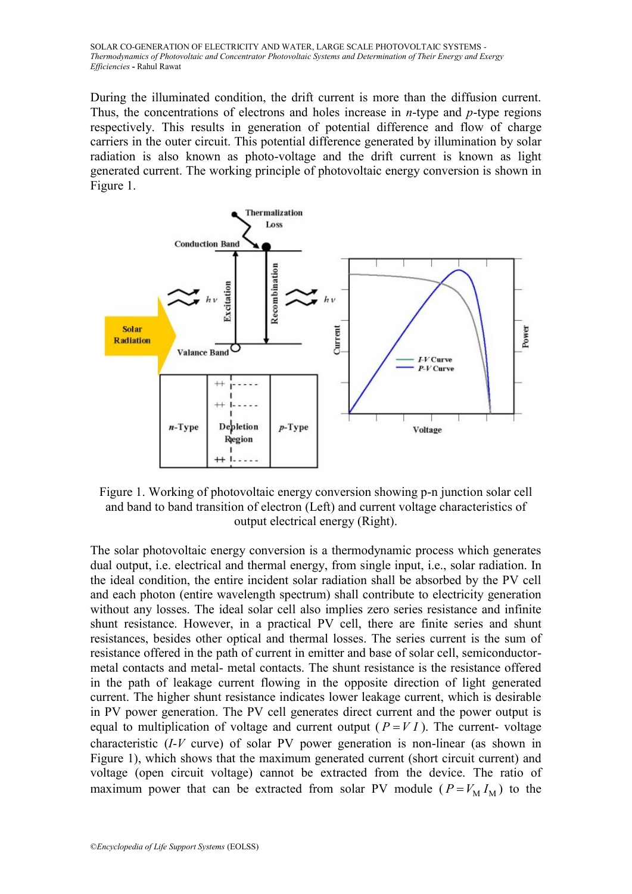During the illuminated condition, the drift current is more than the diffusion current. Thus, the concentrations of electrons and holes increase in *n*-type and *p*-type regions respectively. This results in generation of potential difference and flow of charge carriers in the outer circuit. This potential difference generated by illumination by solar radiation is also known as photo-voltage and the drift current is known as light generated current. The working principle of photovoltaic energy conversion is shown in Figure 1.



Figure 1. Working of photovoltaic energy conversion showing p-n junction solar cell and band to band transition of electron (Left) and current voltage characteristics of output electrical energy (Right).

The solar photovoltaic energy conversion is a thermodynamic process which generates dual output, i.e. electrical and thermal energy, from single input, i.e., solar radiation. In the ideal condition, the entire incident solar radiation shall be absorbed by the PV cell and each photon (entire wavelength spectrum) shall contribute to electricity generation without any losses. The ideal solar cell also implies zero series resistance and infinite shunt resistance. However, in a practical PV cell, there are finite series and shunt resistances, besides other optical and thermal losses. The series current is the sum of resistance offered in the path of current in emitter and base of solar cell, semiconductormetal contacts and metal- metal contacts. The shunt resistance is the resistance offered in the path of leakage current flowing in the opposite direction of light generated current. The higher shunt resistance indicates lower leakage current, which is desirable in PV power generation. The PV cell generates direct current and the power output is equal to multiplication of voltage and current output  $(P = VI)$ . The current-voltage characteristic (*I*-*V* curve) of solar PV power generation is non-linear (as shown in Figure 1), which shows that the maximum generated current (short circuit current) and voltage (open circuit voltage) cannot be extracted from the device. The ratio of maximum power that can be extracted from solar PV module  $(P = V_M I_M)$  to the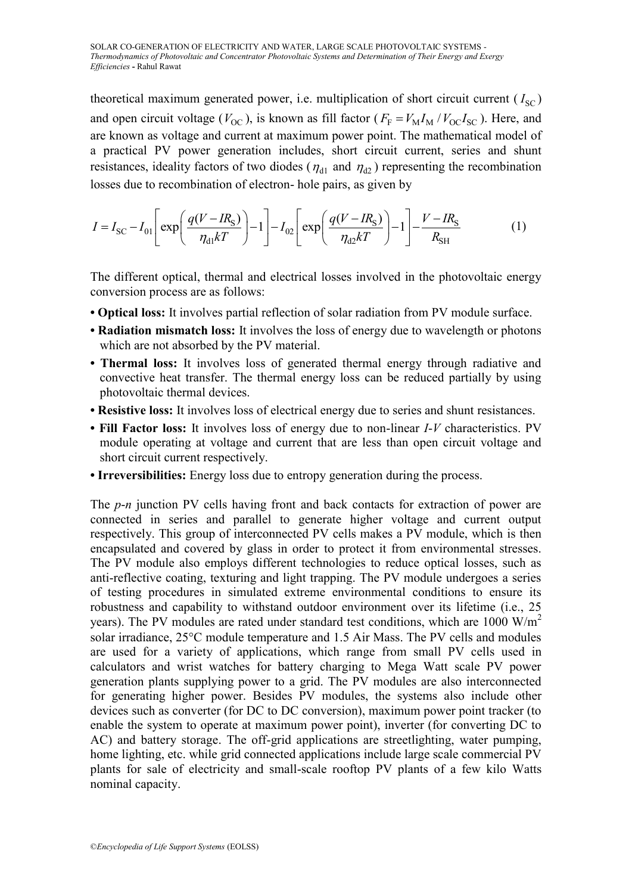theoretical maximum generated power, i.e. multiplication of short circuit current  $(I_{\text{SC}})$ and open circuit voltage ( $V_{\text{OC}}$ ), is known as fill factor ( $F_{\text{F}} = V_{\text{M}} I_{\text{M}} / V_{\text{OC}} I_{\text{SC}}$ ). Here, and are known as voltage and current at maximum power point. The mathematical model of a practical PV power generation includes, short circuit current, series and shunt resistances, ideality factors of two diodes ( $\eta_{d1}$  and  $\eta_{d2}$ ) representing the recombination

losses due to recombination of electron- hole pairs, as given by  
\n
$$
I = I_{SC} - I_{01} \left[ exp \left( \frac{q(V - IR_S)}{\eta_{d1}kT} \right) - 1 \right] - I_{02} \left[ exp \left( \frac{q(V - IR_S)}{\eta_{d2}kT} \right) - 1 \right] - \frac{V - IR_S}{R_{SH}}
$$
\n(1)

The different optical, thermal and electrical losses involved in the photovoltaic energy conversion process are as follows:

- **Optical loss:** It involves partial reflection of solar radiation from PV module surface.
- **Radiation mismatch loss:** It involves the loss of energy due to wavelength or photons which are not absorbed by the PV material.
- **Thermal loss:** It involves loss of generated thermal energy through radiative and convective heat transfer. The thermal energy loss can be reduced partially by using photovoltaic thermal devices.
- **Resistive loss:** It involves loss of electrical energy due to series and shunt resistances.
- **Fill Factor loss:** It involves loss of energy due to non-linear *I*-*V* characteristics. PV module operating at voltage and current that are less than open circuit voltage and short circuit current respectively.
- **Irreversibilities:** Energy loss due to entropy generation during the process.

The *p*-*n* junction PV cells having front and back contacts for extraction of power are connected in series and parallel to generate higher voltage and current output respectively. This group of interconnected PV cells makes a PV module, which is then encapsulated and covered by glass in order to protect it from environmental stresses. The PV module also employs different technologies to reduce optical losses, such as anti-reflective coating, texturing and light trapping. The PV module undergoes a series of testing procedures in simulated extreme environmental conditions to ensure its robustness and capability to withstand outdoor environment over its lifetime (i.e., 25 years). The PV modules are rated under standard test conditions, which are 1000 W/m<sup>2</sup> solar irradiance, 25°C module temperature and 1.5 Air Mass. The PV cells and modules are used for a variety of applications, which range from small PV cells used in calculators and wrist watches for battery charging to Mega Watt scale PV power generation plants supplying power to a grid. The PV modules are also interconnected for generating higher power. Besides PV modules, the systems also include other devices such as converter (for DC to DC conversion), maximum power point tracker (to enable the system to operate at maximum power point), inverter (for converting DC to AC) and battery storage. The off-grid applications are streetlighting, water pumping, home lighting, etc. while grid connected applications include large scale commercial PV plants for sale of electricity and small-scale rooftop PV plants of a few kilo Watts nominal capacity.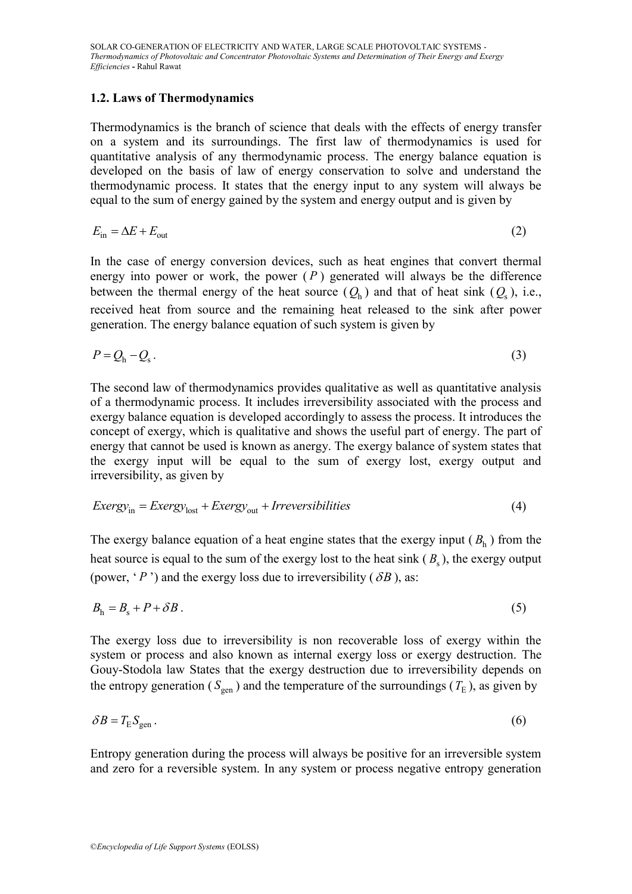### **1.2. Laws of Thermodynamics**

Thermodynamics is the branch of science that deals with the effects of energy transfer on a system and its surroundings. The first law of thermodynamics is used for quantitative analysis of any thermodynamic process. The energy balance equation is developed on the basis of law of energy conservation to solve and understand the thermodynamic process. It states that the energy input to any system will always be equal to the sum of energy gained by the system and energy output and is given by

$$
E_{\rm in} = \Delta E + E_{\rm out} \tag{2}
$$

In the case of energy conversion devices, such as heat engines that convert thermal energy into power or work, the power  $(P)$  generated will always be the difference between the thermal energy of the heat source  $(Q_h)$  and that of heat sink  $(Q_s)$ , i.e., received heat from source and the remaining heat released to the sink after power generation. The energy balance equation of such system is given by

$$
P = Q_{\rm h} - Q_{\rm s} \,. \tag{3}
$$

The second law of thermodynamics provides qualitative as well as quantitative analysis of a thermodynamic process. It includes irreversibility associated with the process and exergy balance equation is developed accordingly to assess the process. It introduces the concept of exergy, which is qualitative and shows the useful part of energy. The part of energy that cannot be used is known as anergy. The exergy balance of system states that the exergy input will be equal to the sum of exergy lost, exergy output and irreversibility, as given by

irreversibility, as given by  
\n
$$
Every_{\text{in}} = Every_{\text{lost}} + Every_{\text{out}} + Irreversibilities
$$
\n(4)

The exergy balance equation of a heat engine states that the exergy input  $(B<sub>h</sub>)$  from the heat source is equal to the sum of the exergy lost to the heat sink ( $B_s$ ), the exergy output (power,  $\langle P \rangle$ ) and the exergy loss due to irreversibility ( $\delta B$ ), as:

$$
B_{\rm h} = B_{\rm s} + P + \delta B \,. \tag{5}
$$

The exergy loss due to irreversibility is non recoverable loss of exergy within the system or process and also known as internal exergy loss or exergy destruction. The Gouy-Stodola law States that the exergy destruction due to irreversibility depends on the entropy generation ( $S_{\text{gen}}$ ) and the temperature of the surroundings ( $T_{\text{E}}$ ), as given by

$$
\delta B = T_{\rm E} S_{\rm gen} \,. \tag{6}
$$

Entropy generation during the process will always be positive for an irreversible system and zero for a reversible system. In any system or process negative entropy generation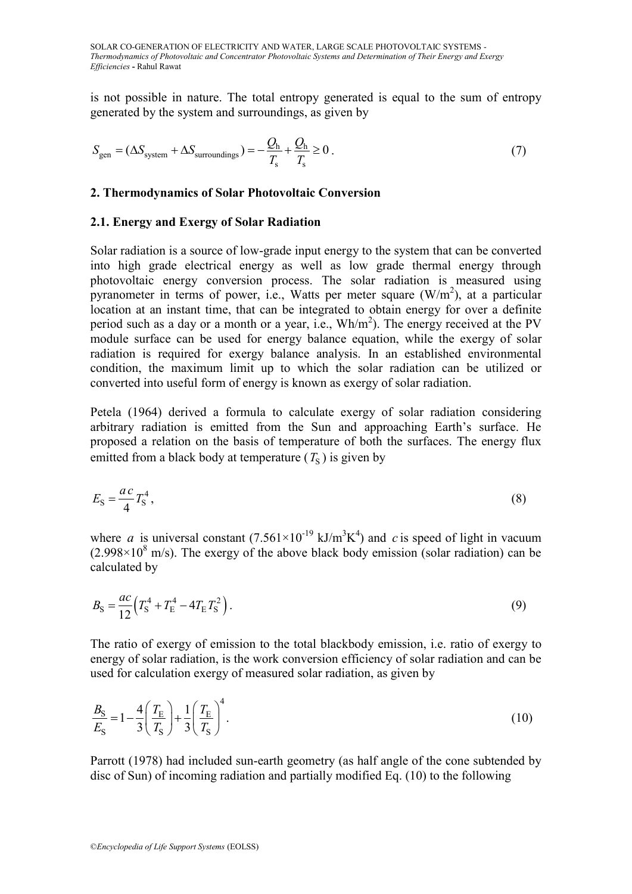is not possible in nature. The total entropy generated is equal to the sum of entropy generated by the system and surroundings, as given by

$$
S_{\text{gen}} = (\Delta S_{\text{system}} + \Delta S_{\text{surroundings}}) = -\frac{Q_{\text{h}}}{T_{\text{s}}} + \frac{Q_{\text{h}}}{T_{\text{s}}} \ge 0. \tag{7}
$$

#### **2. Thermodynamics of Solar Photovoltaic Conversion**

#### **2.1. Energy and Exergy of Solar Radiation**

Solar radiation is a source of low-grade input energy to the system that can be converted into high grade electrical energy as well as low grade thermal energy through photovoltaic energy conversion process. The solar radiation is measured using pyranometer in terms of power, i.e., Watts per meter square  $(W/m<sup>2</sup>)$ , at a particular location at an instant time, that can be integrated to obtain energy for over a definite period such as a day or a month or a year, i.e.,  $Wh/m<sup>2</sup>$ ). The energy received at the PV module surface can be used for energy balance equation, while the exergy of solar radiation is required for exergy balance analysis. In an established environmental condition, the maximum limit up to which the solar radiation can be utilized or converted into useful form of energy is known as exergy of solar radiation.

Petela (1964) derived a formula to calculate exergy of solar radiation considering arbitrary radiation is emitted from the Sun and approaching Earth's surface. He proposed a relation on the basis of temperature of both the surfaces. The energy flux emitted from a black body at temperature  $(T<sub>S</sub>)$  is given by

$$
E_{\rm S} = \frac{ac}{4} T_{\rm S}^4 \,,\tag{8}
$$

where *a* is universal constant  $(7.561 \times 10^{-19} \text{ kJ/m}^3\text{K}^4)$  and *c* is speed of light in vacuum  $(2.998\times10^8 \text{ m/s})$ . The exergy of the above black body emission (solar radiation) can be calculated by

$$
B_{\rm S} = \frac{ac}{12} \left( T_{\rm S}^4 + T_{\rm E}^4 - 4T_{\rm E} T_{\rm S}^2 \right). \tag{9}
$$

The ratio of exergy of emission to the total blackbody emission, i.e. ratio of exergy to energy of solar radiation, is the work conversion efficiency of solar radiation and can be used for calculation exergy of measured solar radiation, as given by

$$
\frac{B_{\rm S}}{E_{\rm S}} = 1 - \frac{4}{3} \left( \frac{T_{\rm E}}{T_{\rm S}} \right) + \frac{1}{3} \left( \frac{T_{\rm E}}{T_{\rm S}} \right)^4.
$$
\n(10)

Parrott (1978) had included sun-earth geometry (as half angle of the cone subtended by disc of Sun) of incoming radiation and partially modified Eq. (10) to the following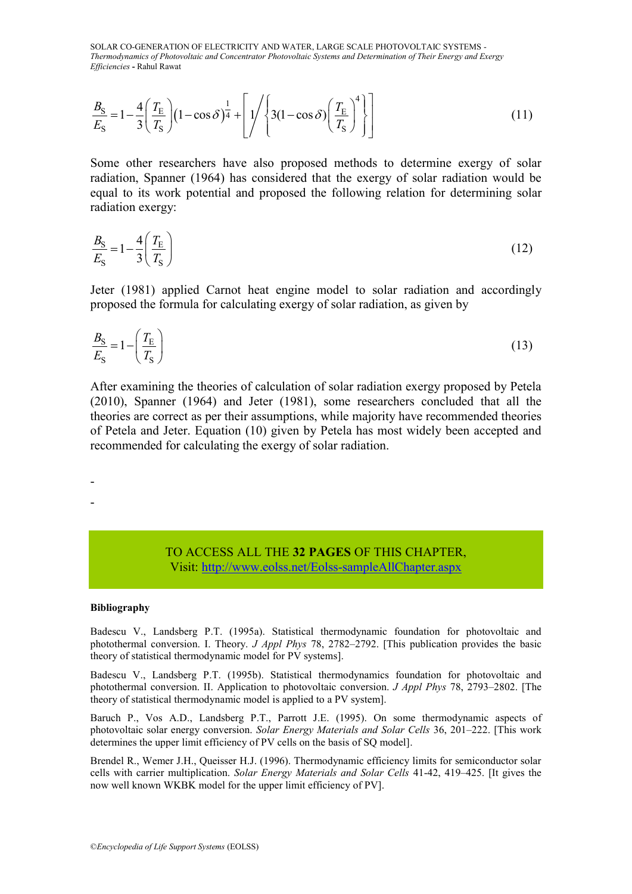$$
\frac{B_{\rm S}}{E_{\rm S}} = 1 - \frac{4}{3} \left( \frac{T_{\rm E}}{T_{\rm S}} \right) \left( 1 - \cos \delta \right)^{\frac{1}{4}} + \left[ \frac{1}{\sqrt{3}} \left( 3(1 - \cos \delta) \left( \frac{T_{\rm E}}{T_{\rm S}} \right)^{4} \right] \right]
$$
(11)

Some other researchers have also proposed methods to determine exergy of solar radiation, Spanner (1964) has considered that the exergy of solar radiation would be equal to its work potential and proposed the following relation for determining solar radiation exergy:

$$
\frac{B_{\rm S}}{E_{\rm S}} = 1 - \frac{4}{3} \left( \frac{T_{\rm E}}{T_{\rm S}} \right) \tag{12}
$$

Jeter (1981) applied Carnot heat engine model to solar radiation and accordingly proposed the formula for calculating exergy of solar radiation, as given by

$$
\frac{B_{\rm S}}{E_{\rm S}} = 1 - \left(\frac{T_{\rm E}}{T_{\rm S}}\right) \tag{13}
$$

 $\frac{1}{2}$  = 1 -  $\frac{1}{3}$   $\left(\frac{12}{T_S}\right)$  (1 - cos  $\delta$ )<sup>4</sup> +  $\left| \frac{1}{\sqrt{2}} \right|$ <br>
Some other researchers have a<br>
radiation, Spanner (1964) has c<br>
equal to its work potential and<br>
radiation exergy:<br>  $\frac{B_S}{E_S} = 1 - \frac{4}{3} \left$ After examining the theories of calculation of solar radiation exergy proposed by Petela (2010), Spanner (1964) and Jeter (1981), some researchers concluded that all the theories are correct as per their assumptions, while majority have recommended theories of Petela and Jeter. Equation (10) given by Petela has most widely been accepted and recommended for calculating the exergy of solar radiation.

### TO ACCESS ALL THE **32 PAGES** OF THIS CHAPTER, Vis[it: http://www.eolss.net/Eolss-sampleAllChapter.aspx](https://www.eolss.net/ebooklib/sc_cart.aspx?File=E6-107-14)

#### **Bibliography**

- -

Badescu V., Landsberg P.T. (1995a). Statistical thermodynamic foundation for photovoltaic and photothermal conversion. I. Theory. *J Appl Phys* 78, 2782–2792. [This publication provides the basic theory of statistical thermodynamic model for PV systems].

Badescu V., Landsberg P.T. (1995b). Statistical thermodynamics foundation for photovoltaic and photothermal conversion. II. Application to photovoltaic conversion. *J Appl Phys* 78, 2793–2802. [The theory of statistical thermodynamic model is applied to a PV system].

Baruch P., Vos A.D., Landsberg P.T., Parrott J.E. (1995). On some thermodynamic aspects of photovoltaic solar energy conversion. *Solar Energy Materials and Solar Cells* 36, 201–222. [This work determines the upper limit efficiency of PV cells on the basis of SQ model].

Brendel R., Wemer J.H., Queisser H.J. (1996). Thermodynamic efficiency limits for semiconductor solar cells with carrier multiplication. *Solar Energy Materials and Solar Cells* 41-42, 419–425. [It gives the now well known WKBK model for the upper limit efficiency of PV].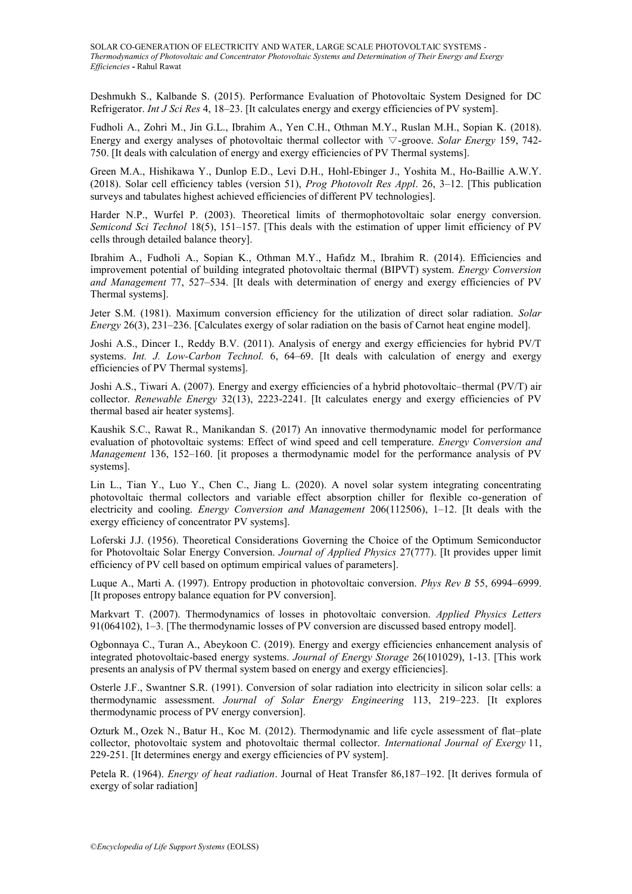Deshmukh S., Kalbande S. (2015). Performance Evaluation of Photovoltaic System Designed for DC Refrigerator. *Int J Sci Res* 4, 18–23. [It calculates energy and exergy efficiencies of PV system].

Fudholi A., Zohri M., Jin G.L., Ibrahim A., Yen C.H., Othman M.Y., Ruslan M.H., Sopian K. (2018). Energy and exergy analyses of photovoltaic thermal collector with ∇-groove. *Solar Energy* 159, 742- 750. [It deals with calculation of energy and exergy efficiencies of PV Thermal systems].

Green M.A., Hishikawa Y., Dunlop E.D., Levi D.H., Hohl-Ebinger J., Yoshita M., Ho-Baillie A.W.Y. (2018). Solar cell efficiency tables (version 51), *Prog Photovolt Res Appl*. 26, 3–12. [This publication surveys and tabulates highest achieved efficiencies of different PV technologies].

Harder N.P., Wurfel P. (2003). Theoretical limits of thermophotovoltaic solar energy conversion. *Semicond Sci Technol* 18(5), 151–157. [This deals with the estimation of upper limit efficiency of PV cells through detailed balance theory].

Ibrahim A., Fudholi A., Sopian K., Othman M.Y., Hafidz M., Ibrahim R. (2014). Efficiencies and improvement potential of building integrated photovoltaic thermal (BIPVT) system. *Energy Conversion and Management* 77, 527–534. [It deals with determination of energy and exergy efficiencies of PV Thermal systems].

Jeter S.M. (1981). Maximum conversion efficiency for the utilization of direct solar radiation. *Solar Energy* 26(3), 231–236. [Calculates exergy of solar radiation on the basis of Carnot heat engine model].

Joshi A.S., Dincer I., Reddy B.V. (2011). Analysis of energy and exergy efficiencies for hybrid PV/T systems. *Int. J. Low-Carbon Technol.* 6, 64–69. [It deals with calculation of energy and exergy efficiencies of PV Thermal systems].

Joshi A.S., Tiwari A. (2007). Energy and exergy efficiencies of a hybrid photovoltaic–thermal (PV/T) air collector. *Renewable Energy* 32(13), 2223-2241. [It calculates energy and exergy efficiencies of PV thermal based air heater systems].

Kaushik S.C., Rawat R., Manikandan S. (2017) An innovative thermodynamic model for performance evaluation of photovoltaic systems: Effect of wind speed and cell temperature. *Energy Conversion and Management* 136, 152–160. [it proposes a thermodynamic model for the performance analysis of PV systems].

Lin L., Tian Y., Luo Y., Chen C., Jiang L. (2020). A novel solar system integrating concentrating photovoltaic thermal collectors and variable effect absorption chiller for flexible co-generation of electricity and cooling. *Energy Conversion and Management* 206(112506), 1–12. [It deals with the exergy efficiency of concentrator PV systems].

Loferski J.J. (1956). Theoretical Considerations Governing the Choice of the Optimum Semiconductor for Photovoltaic Solar Energy Conversion. *Journal of Applied Physics* 27(777). [It provides upper limit efficiency of PV cell based on optimum empirical values of parameters].

Luque A., Marti A. (1997). Entropy production in photovoltaic conversion. *Phys Rev B* 55, 6994–6999. [It proposes entropy balance equation for PV conversion].

Markvart T. (2007). Thermodynamics of losses in photovoltaic conversion. *Applied Physics Letters* 91(064102), 1–3. [The thermodynamic losses of PV conversion are discussed based entropy model].

Ogbonnaya C., Turan A., Abeykoon C. (2019). Energy and exergy efficiencies enhancement analysis of integrated photovoltaic-based energy systems. *Journal of Energy Storage* 26(101029), 1-13. [This work presents an analysis of PV thermal system based on energy and exergy efficiencies].

Osterle J.F., Swantner S.R. (1991). Conversion of solar radiation into electricity in silicon solar cells: a thermodynamic assessment. *Journal of Solar Energy Engineering* 113, 219–223. [It explores thermodynamic process of PV energy conversion].

Ozturk M., Ozek N., Batur H., Koc M. (2012). Thermodynamic and life cycle assessment of flat–plate collector, photovoltaic system and photovoltaic thermal collector. *International Journal of Exergy* 11, 229-251. [It determines energy and exergy efficiencies of PV system].

Petela R. (1964). *Energy of heat radiation*. Journal of Heat Transfer 86,187–192. [It derives formula of exergy of solar radiation]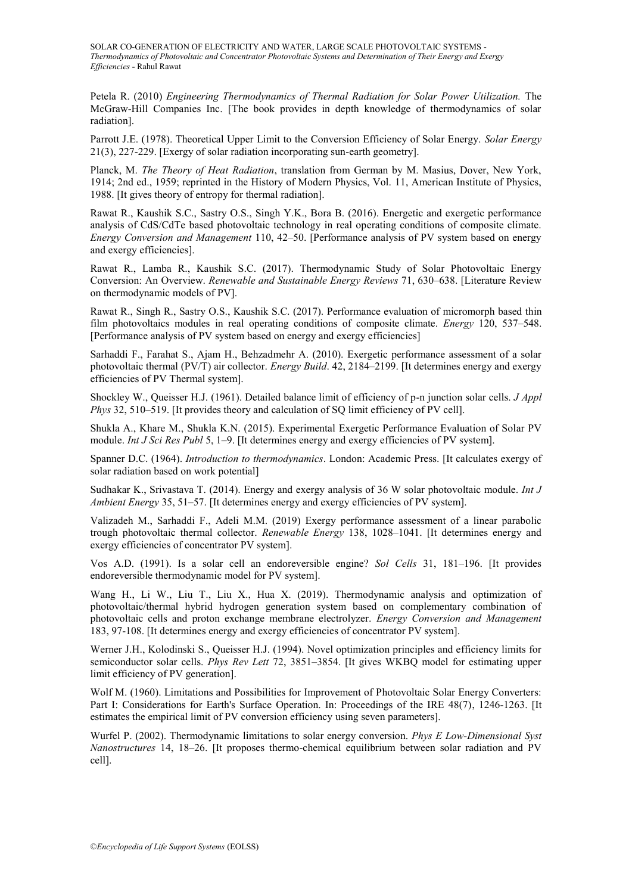Petela R. (2010) *Engineering Thermodynamics of Thermal Radiation for Solar Power Utilization.* The McGraw-Hill Companies Inc. [The book provides in depth knowledge of thermodynamics of solar radiation].

Parrott J.E. (1978). Theoretical Upper Limit to the Conversion Efficiency of Solar Energy. *Solar Energy* 21(3), 227-229. [Exergy of solar radiation incorporating sun-earth geometry].

Planck, M. *The Theory of Heat Radiation*, translation from German by M. Masius, Dover, New York, 1914; 2nd ed., 1959; reprinted in the History of Modern Physics, Vol. 11, American Institute of Physics, 1988. [It gives theory of entropy for thermal radiation].

Rawat R., Kaushik S.C., Sastry O.S., Singh Y.K., Bora B. (2016). Energetic and exergetic performance analysis of CdS/CdTe based photovoltaic technology in real operating conditions of composite climate. *Energy Conversion and Management* 110, 42–50. [Performance analysis of PV system based on energy and exergy efficiencies].

Rawat R., Lamba R., Kaushik S.C. (2017). Thermodynamic Study of Solar Photovoltaic Energy Conversion: An Overview. *Renewable and Sustainable Energy Reviews* 71, 630–638. [Literature Review on thermodynamic models of PV].

Rawat R., Singh R., Sastry O.S., Kaushik S.C. (2017). Performance evaluation of micromorph based thin film photovoltaics modules in real operating conditions of composite climate. *Energy* 120, 537–548. [Performance analysis of PV system based on energy and exergy efficiencies]

Sarhaddi F., Farahat S., Ajam H., Behzadmehr A. (2010). Exergetic performance assessment of a solar photovoltaic thermal (PV/T) air collector. *Energy Build*. 42, 2184–2199. [It determines energy and exergy efficiencies of PV Thermal system].

Shockley W., Queisser H.J. (1961). Detailed balance limit of efficiency of p-n junction solar cells. *J Appl Phys* 32, 510–519. [It provides theory and calculation of SQ limit efficiency of PV cell].

Shukla A., Khare M., Shukla K.N. (2015). Experimental Exergetic Performance Evaluation of Solar PV module. *Int J Sci Res Publ* 5, 1–9. [It determines energy and exergy efficiencies of PV system].

Spanner D.C. (1964). *Introduction to thermodynamics*. London: Academic Press. [It calculates exergy of solar radiation based on work potential]

Sudhakar K., Srivastava T. (2014). Energy and exergy analysis of 36 W solar photovoltaic module. *Int J Ambient Energy* 35, 51–57. [It determines energy and exergy efficiencies of PV system].

Valizadeh M., Sarhaddi F., Adeli M.M. (2019) Exergy performance assessment of a linear parabolic trough photovoltaic thermal collector. *Renewable Energy* 138, 1028–1041. [It determines energy and exergy efficiencies of concentrator PV system].

Vos A.D. (1991). Is a solar cell an endoreversible engine? *Sol Cells* 31, 181–196. [It provides endoreversible thermodynamic model for PV system].

Wang H., Li W., Liu T., Liu X., Hua X. (2019). Thermodynamic analysis and optimization of photovoltaic/thermal hybrid hydrogen generation system based on complementary combination of photovoltaic cells and proton exchange membrane electrolyzer. *Energy Conversion and Management* 183, 97-108. [It determines energy and exergy efficiencies of concentrator PV system].

Werner J.H., Kolodinski S., Queisser H.J. (1994). Novel optimization principles and efficiency limits for semiconductor solar cells. *Phys Rev Lett* 72, 3851–3854. [It gives WKBQ model for estimating upper limit efficiency of PV generation].

Wolf M. (1960). Limitations and Possibilities for Improvement of Photovoltaic Solar Energy Converters: Part I: Considerations for Earth's Surface Operation. In: Proceedings of the IRE 48(7), 1246-1263. [It estimates the empirical limit of PV conversion efficiency using seven parameters].

Wurfel P. (2002). Thermodynamic limitations to solar energy conversion. *Phys E Low-Dimensional Syst Nanostructures* 14, 18–26. [It proposes thermo-chemical equilibrium between solar radiation and PV cell].